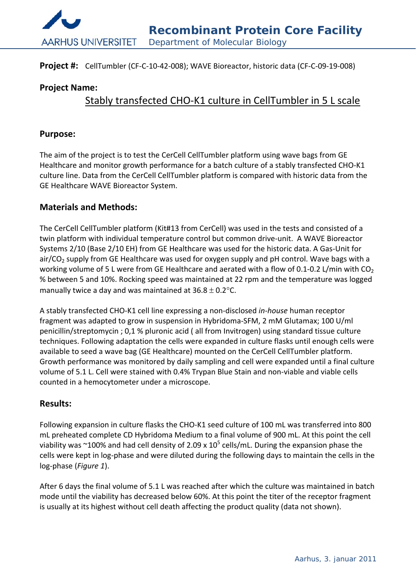

### **Project #:** CellTumbler (CF‐C‐10‐42‐008); WAVE Bioreactor, historic data (CF‐C‐09‐19‐008)

## **Project Name:**

# Stably transfected CHO‐K1 culture in CellTumbler in 5 L scale

#### **Purpose:**

The aim of the project is to test the CerCell CellTumbler platform using wave bags from GE Healthcare and monitor growth performance for a batch culture of a stably transfected CHO-K1 culture line. Data from the CerCell CellTumbler platform is compared with historic data from the GE Healthcare WAVE Bioreactor System.

### **Materials and Methods:**

The CerCell CellTumbler platform (Kit#13 from CerCell) was used in the tests and consisted of a twin platform with individual temperature control but common drive‐unit. A WAVE Bioreactor Systems 2/10 (Base 2/10 EH) from GE Healthcare was used for the historic data. A Gas-Unit for air/CO<sub>2</sub> supply from GE Healthcare was used for oxygen supply and pH control. Wave bags with a working volume of 5 L were from GE Healthcare and aerated with a flow of 0.1-0.2 L/min with CO<sub>2</sub> % between 5 and 10%. Rocking speed was maintained at 22 rpm and the temperature was logged manually twice a day and was maintained at  $36.8 \pm 0.2$  °C.

A stably transfected CHO‐K1 cell line expressing a non‐disclosed *in‐house* human receptor fragment was adapted to grow in suspension in Hybridoma‐SFM, 2 mM Glutamax; 100 U/ml penicillin/streptomycin ; 0,1 % pluronic acid ( all from Invitrogen) using standard tissue culture techniques. Following adaptation the cells were expanded in culture flasks until enough cells were available to seed a wave bag (GE Healthcare) mounted on the CerCell CellTumbler platform. Growth performance was monitored by daily sampling and cell were expanded until a final culture volume of 5.1 L. Cell were stained with 0.4% Trypan Blue Stain and non‐viable and viable cells counted in a hemocytometer under a microscope.

## **Results:**

Following expansion in culture flasks the CHO-K1 seed culture of 100 mL was transferred into 800 mL preheated complete CD Hybridoma Medium to a final volume of 900 mL. At this point the cell viability was ~100% and had cell density of 2.09 x  $10^5$  cells/mL. During the expansion phase the cells were kept in log‐phase and were diluted during the following days to maintain the cells in the log‐phase (*Figure 1*).

After 6 days the final volume of 5.1 L was reached after which the culture was maintained in batch mode until the viability has decreased below 60%. At this point the titer of the receptor fragment is usually at its highest without cell death affecting the product quality (data not shown).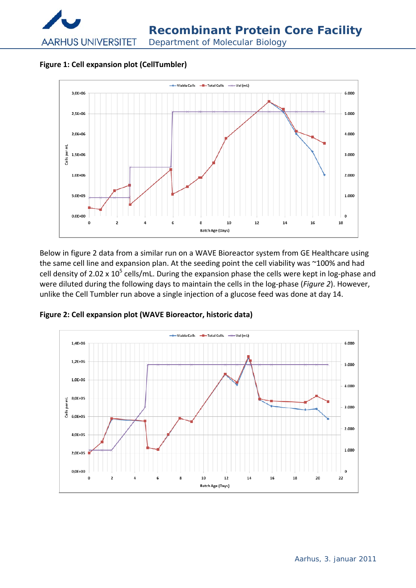

**Figure 1: Cell expansion plot (CellTumbler)**



Below in figure 2 data from a similar run on a WAVE Bioreactor system from GE Healthcare using the same cell line and expansion plan. At the seeding point the cell viability was ~100% and had cell density of 2.02 x  $10^5$  cells/mL. During the expansion phase the cells were kept in log-phase and were diluted during the following days to maintain the cells in the log‐phase (*Figure 2*). However, unlike the Cell Tumbler run above a single injection of a glucose feed was done at day 14.



**Figure 2: Cell expansion plot (WAVE Bioreactor, historic data)**